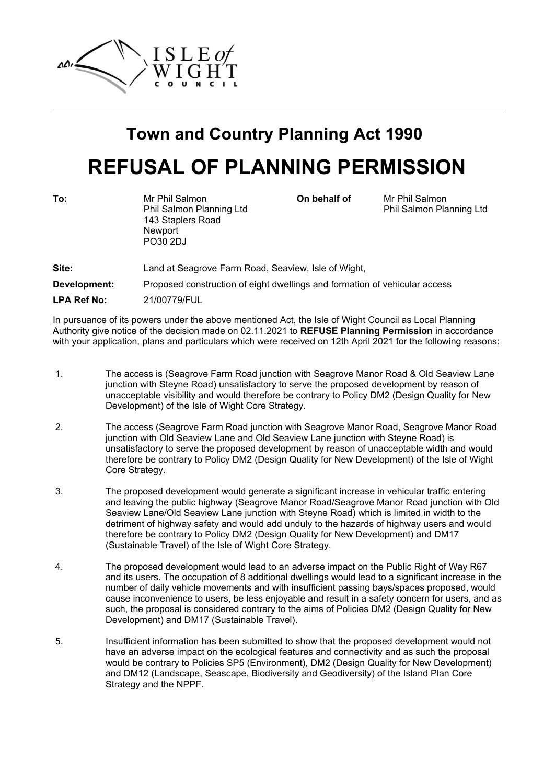

# **Town and Country Planning Act 1990 REFUSAL OF PLANNING PERMISSION**

| To:                | Mr Phil Salmon<br>Phil Salmon Planning Ltd<br>143 Staplers Road<br>Newport<br>PO30 2DJ | On behalf of | Mr Phil Salmon<br>Phil Salmon Planning Ltd |
|--------------------|----------------------------------------------------------------------------------------|--------------|--------------------------------------------|
| Site:              | Land at Seagrove Farm Road, Seaview, Isle of Wight,                                    |              |                                            |
| Development:       | Proposed construction of eight dwellings and formation of vehicular access             |              |                                            |
| <b>LPA Ref No:</b> | 21/00779/FUL                                                                           |              |                                            |

In pursuance of its powers under the above mentioned Act, the Isle of Wight Council as Local Planning Authority give notice of the decision made on 02.11.2021 to **REFUSE Planning Permission** in accordance with your application, plans and particulars which were received on 12th April 2021 for the following reasons:

- 1. The access is (Seagrove Farm Road junction with Seagrove Manor Road & Old Seaview Lane junction with Steyne Road) unsatisfactory to serve the proposed development by reason of unacceptable visibility and would therefore be contrary to Policy DM2 (Design Quality for New Development) of the Isle of Wight Core Strategy.
- 2. The access (Seagrove Farm Road junction with Seagrove Manor Road, Seagrove Manor Road junction with Old Seaview Lane and Old Seaview Lane junction with Steyne Road) is unsatisfactory to serve the proposed development by reason of unacceptable width and would therefore be contrary to Policy DM2 (Design Quality for New Development) of the Isle of Wight Core Strategy.
- 3. The proposed development would generate a significant increase in vehicular traffic entering and leaving the public highway (Seagrove Manor Road/Seagrove Manor Road junction with Old Seaview Lane/Old Seaview Lane junction with Steyne Road) which is limited in width to the detriment of highway safety and would add unduly to the hazards of highway users and would therefore be contrary to Policy DM2 (Design Quality for New Development) and DM17 (Sustainable Travel) of the Isle of Wight Core Strategy.
- 4. The proposed development would lead to an adverse impact on the Public Right of Way R67 and its users. The occupation of 8 additional dwellings would lead to a significant increase in the number of daily vehicle movements and with insufficient passing bays/spaces proposed, would cause inconvenience to users, be less enjoyable and result in a safety concern for users, and as such, the proposal is considered contrary to the aims of Policies DM2 (Design Quality for New Development) and DM17 (Sustainable Travel).
- 5. Insufficient information has been submitted to show that the proposed development would not have an adverse impact on the ecological features and connectivity and as such the proposal would be contrary to Policies SP5 (Environment), DM2 (Design Quality for New Development) and DM12 (Landscape, Seascape, Biodiversity and Geodiversity) of the Island Plan Core Strategy and the NPPF.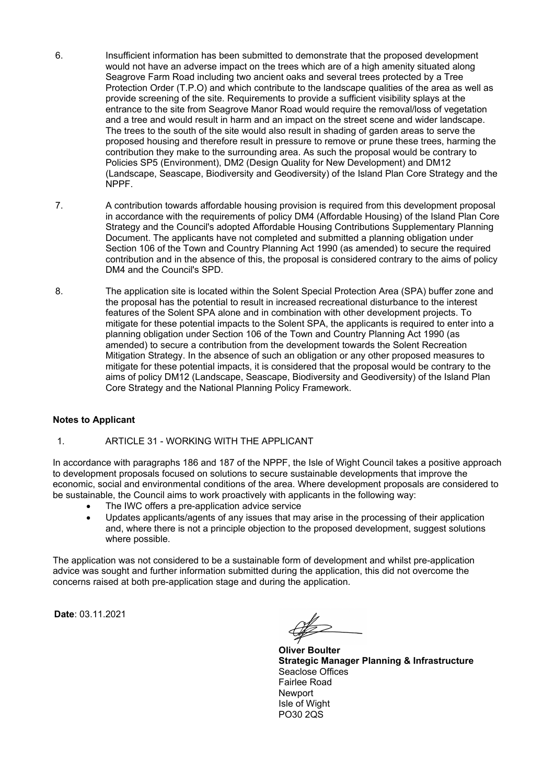- 6. Insufficient information has been submitted to demonstrate that the proposed development would not have an adverse impact on the trees which are of a high amenity situated along Seagrove Farm Road including two ancient oaks and several trees protected by a Tree Protection Order (T.P.O) and which contribute to the landscape qualities of the area as well as provide screening of the site. Requirements to provide a sufficient visibility splays at the entrance to the site from Seagrove Manor Road would require the removal/loss of vegetation and a tree and would result in harm and an impact on the street scene and wider landscape. The trees to the south of the site would also result in shading of garden areas to serve the proposed housing and therefore result in pressure to remove or prune these trees, harming the contribution they make to the surrounding area. As such the proposal would be contrary to Policies SP5 (Environment), DM2 (Design Quality for New Development) and DM12 (Landscape, Seascape, Biodiversity and Geodiversity) of the Island Plan Core Strategy and the NPPF.
- 7. A contribution towards affordable housing provision is required from this development proposal in accordance with the requirements of policy DM4 (Affordable Housing) of the Island Plan Core Strategy and the Council's adopted Affordable Housing Contributions Supplementary Planning Document. The applicants have not completed and submitted a planning obligation under Section 106 of the Town and Country Planning Act 1990 (as amended) to secure the required contribution and in the absence of this, the proposal is considered contrary to the aims of policy DM4 and the Council's SPD.
- 8. The application site is located within the Solent Special Protection Area (SPA) buffer zone and the proposal has the potential to result in increased recreational disturbance to the interest features of the Solent SPA alone and in combination with other development projects. To mitigate for these potential impacts to the Solent SPA, the applicants is required to enter into a planning obligation under Section 106 of the Town and Country Planning Act 1990 (as amended) to secure a contribution from the development towards the Solent Recreation Mitigation Strategy. In the absence of such an obligation or any other proposed measures to mitigate for these potential impacts, it is considered that the proposal would be contrary to the aims of policy DM12 (Landscape, Seascape, Biodiversity and Geodiversity) of the Island Plan Core Strategy and the National Planning Policy Framework.

## **Notes to Applicant**

#### 1. ARTICLE 31 - WORKING WITH THE APPLICANT

In accordance with paragraphs 186 and 187 of the NPPF, the Isle of Wight Council takes a positive approach to development proposals focused on solutions to secure sustainable developments that improve the economic, social and environmental conditions of the area. Where development proposals are considered to be sustainable, the Council aims to work proactively with applicants in the following way:

- The IWC offers a pre-application advice service
- Updates applicants/agents of any issues that may arise in the processing of their application and, where there is not a principle objection to the proposed development, suggest solutions where possible.

The application was not considered to be a sustainable form of development and whilst pre-application advice was sought and further information submitted during the application, this did not overcome the concerns raised at both pre-application stage and during the application.

**Date**: 03.11.2021

**Oliver Boulter Strategic Manager Planning & Infrastructure** Seaclose Offices Fairlee Road **Newport** Isle of Wight PO30 2QS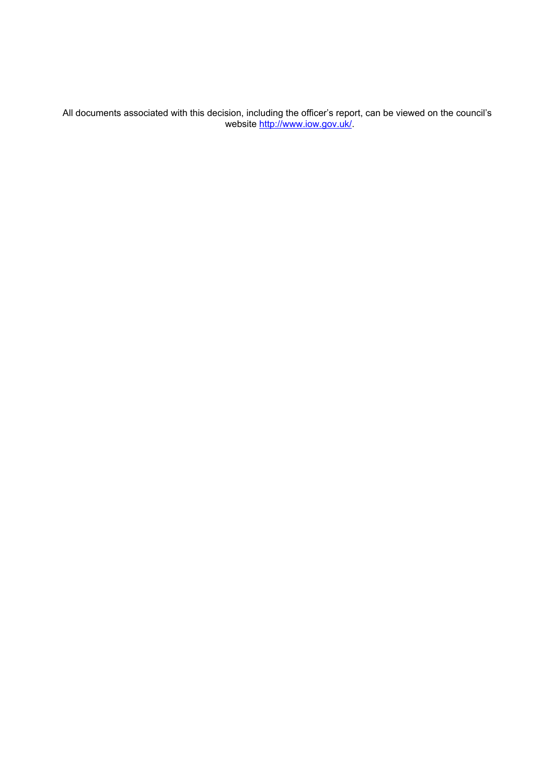All documents associated with this decision, including the officer's report, can be viewed on the council's website <u>http://www.iow.gov.uk/</u>.